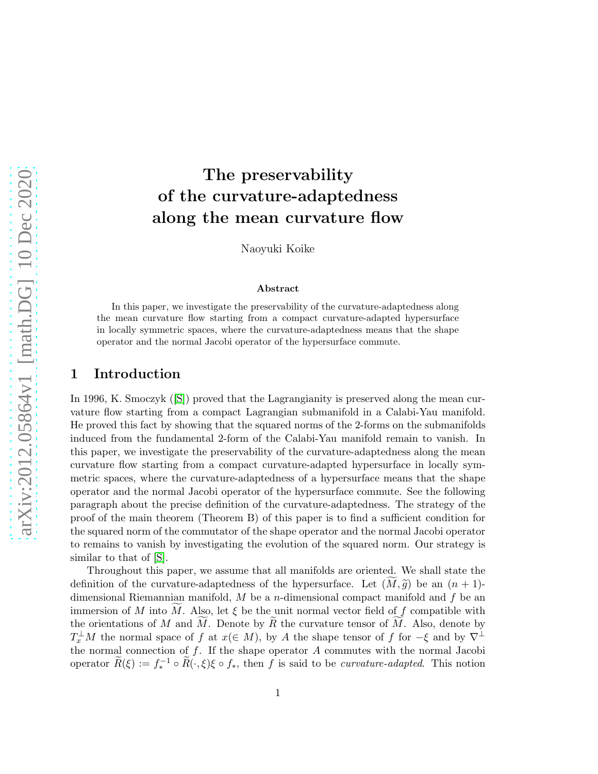# The preservability of the curvature-adaptedness along the mean curvature flow

Naoyuki Koike

#### Abstract

In this paper, we investigate the preservability of the curvature-adaptedness along the mean curvature flow starting from a compact curvature-adapted hypersurface in locally symmetric spaces, where the curvature-adaptedness means that the shape operator and the normal Jacobi operator of the hypersurface commute.

#### 1 Introduction

In 1996, K. Smoczyk([\[S\]](#page-18-0)) proved that the Lagrangianity is preserved along the mean curvature flow starting from a compact Lagrangian submanifold in a Calabi-Yau manifold. He proved this fact by showing that the squared norms of the 2-forms on the submanifolds induced from the fundamental 2-form of the Calabi-Yau manifold remain to vanish. In this paper, we investigate the preservability of the curvature-adaptedness along the mean curvature flow starting from a compact curvature-adapted hypersurface in locally symmetric spaces, where the curvature-adaptedness of a hypersurface means that the shape operator and the normal Jacobi operator of the hypersurface commute. See the following paragraph about the precise definition of the curvature-adaptedness. The strategy of the proof of the main theorem (Theorem B) of this paper is to find a sufficient condition for the squared norm of the commutator of the shape operator and the normal Jacobi operator to remains to vanish by investigating the evolution of the squared norm. Our strategy is similar to that of [\[S\]](#page-18-0).

Throughout this paper, we assume that all manifolds are oriented. We shall state the definition of the curvature-adaptedness of the hypersurface. Let  $(M, \tilde{g})$  be an  $(n + 1)$ dimensional Riemannian manifold,  $M$  be a *n*-dimensional compact manifold and  $f$  be an immersion of M into M. Also, let  $\xi$  be the unit normal vector field of f compatible with the orientations of M and M. Denote by  $\overline{R}$  the curvature tensor of M. Also, denote by  $T_x^{\perp}M$  the normal space of f at  $x(\in M)$ , by A the shape tensor of f for  $-\xi$  and by  $\nabla^{\perp}$ the normal connection of  $f$ . If the shape operator  $A$  commutes with the normal Jacobi operator  $\widetilde{R}(\xi) := f_*^{-1} \circ \widetilde{R}(\cdot,\xi) \xi \circ f_*,$  then f is said to be *curvature-adapted*. This notion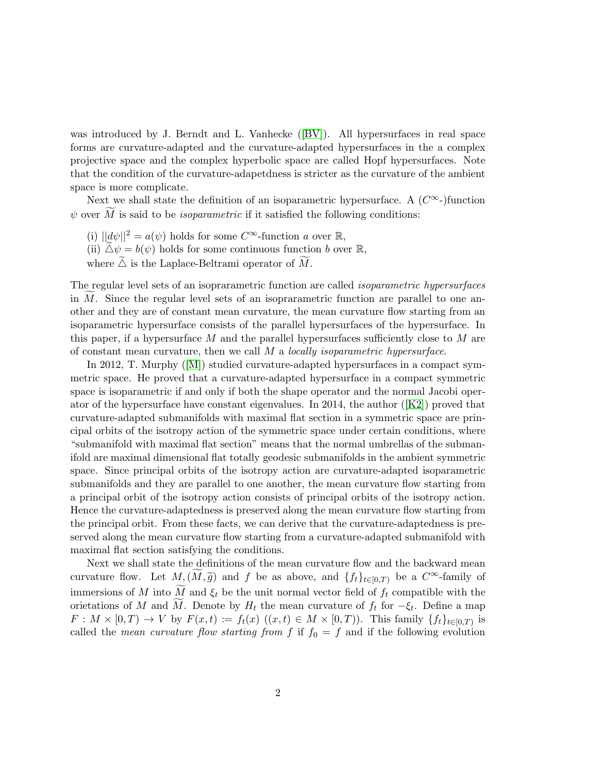wasintroduced by J. Berndt and L. Vanhecke ([\[BV\]](#page-18-1)). All hypersurfaces in real space forms are curvature-adapted and the curvature-adapted hypersurfaces in the a complex projective space and the complex hyperbolic space are called Hopf hypersurfaces. Note that the condition of the curvature-adapetdness is stricter as the curvature of the ambient space is more complicate.

Next we shall state the definition of an isoparametric hypersurface. A  $(C^{\infty})$  function  $\psi$  over  $\widetilde{M}$  is said to be *isoparametric* if it satisfied the following conditions:

- (i)  $||d\psi||^2 = a(\psi)$  holds for some  $C^{\infty}$ -function a over  $\mathbb{R}$ ,
- (ii)  $\Delta \psi = b(\psi)$  holds for some continuous function b over R,
- where  $\Delta$  is the Laplace-Beltrami operator of  $\widetilde{M}$ .

The regular level sets of an isoprarametric function are called isoparametric hypersurfaces in M. Since the regular level sets of an isoprarametric function are parallel to one another and they are of constant mean curvature, the mean curvature flow starting from an isoparametric hypersurface consists of the parallel hypersurfaces of the hypersurface. In this paper, if a hypersurface  $M$  and the parallel hypersurfaces sufficiently close to  $M$  are of constant mean curvature, then we call  $M$  a *locally isoparametric hypersurface*.

In 2012, T. Murphy([\[M\]](#page-18-2)) studied curvature-adapted hypersurfaces in a compact symmetric space. He proved that a curvature-adapted hypersurface in a compact symmetric space is isoparametric if and only if both the shape operator and the normal Jacobi operatorof the hypersurface have constant eigenvalues. In 2014, the author  $(|K2|)$  proved that curvature-adapted submanifolds with maximal flat section in a symmetric space are principal orbits of the isotropy action of the symmetric space under certain conditions, where "submanifold with maximal flat section" means that the normal umbrellas of the submanifold are maximal dimensional flat totally geodesic submanifolds in the ambient symmetric space. Since principal orbits of the isotropy action are curvature-adapted isoparametric submanifolds and they are parallel to one another, the mean curvature flow starting from a principal orbit of the isotropy action consists of principal orbits of the isotropy action. Hence the curvature-adaptedness is preserved along the mean curvature flow starting from the principal orbit. From these facts, we can derive that the curvature-adaptedness is preserved along the mean curvature flow starting from a curvature-adapted submanifold with maximal flat section satisfying the conditions.

Next we shall state the definitions of the mean curvature flow and the backward mean curvature flow. Let  $M,(M, \tilde{g})$  and f be as above, and  $\{f_t\}_{t\in[0,T)}$  be a  $C^{\infty}$ -family of immersions of M into  $\widetilde{M}$  and  $\xi_t$  be the unit normal vector field of  $f_t$  compatible with the orietations of M and M. Denote by  $H_t$  the mean curvature of  $f_t$  for  $-\xi_t$ . Define a map  $F: M \times [0,T) \to V$  by  $F(x,t) := f_t(x) ((x,t) \in M \times [0,T))$ . This family  $\{f_t\}_{t \in [0,T)}$  is called the mean curvature flow starting from f if  $f_0 = f$  and if the following evolution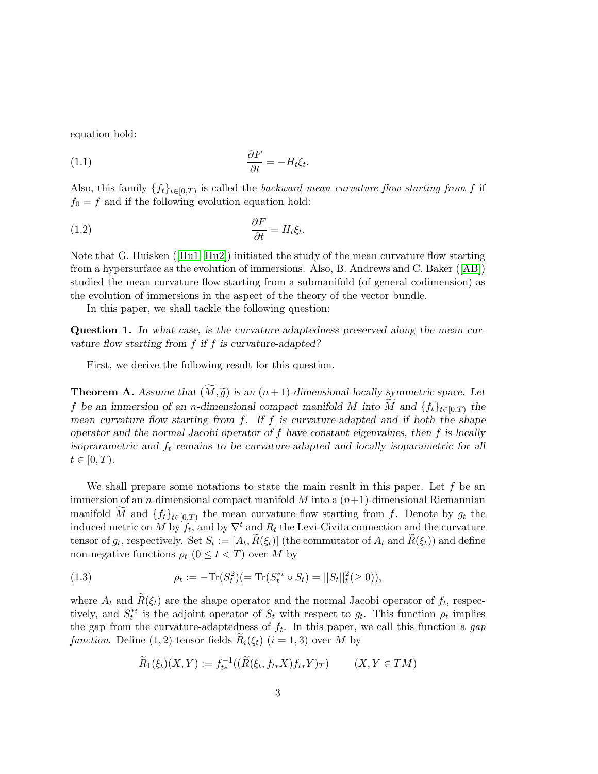equation hold:

$$
\frac{\partial F}{\partial t} = -H_t \xi_t.
$$

Also, this family  $\{f_t\}_{t\in[0,T)}$  is called the backward mean curvature flow starting from f if  $f_0 = f$  and if the following evolution equation hold:

$$
\frac{\partial F}{\partial t} = H_t \xi_t.
$$

Note that G. Huisken([\[Hu1,](#page-18-4) [Hu2\]](#page-18-5)) initiated the study of the mean curvature flow starting from a hypersurface as the evolution of immersions. Also, B. Andrews and C. Baker([\[AB\]](#page-18-6)) studied the mean curvature flow starting from a submanifold (of general codimension) as the evolution of immersions in the aspect of the theory of the vector bundle.

In this paper, we shall tackle the following question:

Question 1. In what case, is the curvature-adaptedness preserved along the mean curvature flow starting from f if f is curvature-adapted?

First, we derive the following result for this question.

**Theorem A.** Assume that  $(M, \tilde{g})$  is an  $(n + 1)$ -dimensional locally symmetric space. Let f be an immersion of an n-dimensional compact manifold M into M and  $\{f_t\}_{t\in[0,T)}$  the mean curvature flow starting from f. If f is curvature-adapted and if both the shape operator and the normal Jacobi operator of  $f$  have constant eigenvalues, then  $f$  is locally isoprarametric and  $f_t$  remains to be curvature-adapted and locally isoparametric for all  $t\in[0,T).$ 

We shall prepare some notations to state the main result in this paper. Let  $f$  be an immersion of an *n*-dimensional compact manifold  $M$  into a  $(n+1)$ -dimensional Riemannian manifold M and  ${f_t}_{t\in[0,T)}$  the mean curvature flow starting from f. Denote by  $g_t$  the induced metric on M by  $f_t$ , and by  $\nabla^t$  and  $R_t$  the Levi-Civita connection and the curvature tensor of  $g_t$ , respectively. Set  $S_t := [A_t, R(\xi_t)]$  (the commutator of  $A_t$  and  $R(\xi_t)$ ) and define non-negative functions  $\rho_t$   $(0 \leq t < T)$  over M by

(1.3) 
$$
\rho_t := -\text{Tr}(S_t^2) (=\text{Tr}(S_t^{*t} \circ S_t) = ||S_t||_t^2 (\ge 0)),
$$

where  $A_t$  and  $R(\xi_t)$  are the shape operator and the normal Jacobi operator of  $f_t$ , respectively, and  $S_t^*$  is the adjoint operator of  $S_t$  with respect to  $g_t$ . This function  $\rho_t$  implies the gap from the curvature-adaptedness of  $f_t$ . In this paper, we call this function a gap function. Define (1, 2)-tensor fields  $R_i(\xi_t)$  (i = 1, 3) over M by

$$
\widetilde{R}_1(\xi_t)(X,Y) := f_{t*}^{-1}((\widetilde{R}(\xi_t, f_{t*}X)f_{t*}Y)_T) \qquad (X,Y \in TM)
$$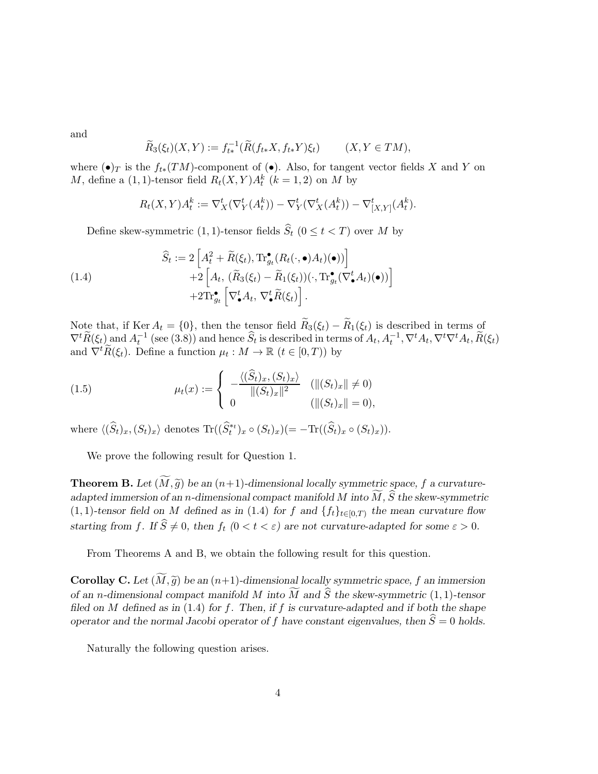and

$$
\widetilde{R}_3(\xi_t)(X,Y) := f_{t*}^{-1}(\widetilde{R}(f_{t*}X, f_{t*}Y)\xi_t) \qquad (X,Y \in TM),
$$

where  $(\bullet)_T$  is the  $f_{t*}(TM)$ -component of  $(\bullet)$ . Also, for tangent vector fields X and Y on M, define a  $(1, 1)$ -tensor field  $R_t(X, Y)A_t^k$   $(k = 1, 2)$  on M by

$$
R_t(X,Y)A_t^k := \nabla_X^t(\nabla_Y^t(A_t^k)) - \nabla_Y^t(\nabla_X^t(A_t^k)) - \nabla_{[X,Y]}^t(A_t^k).
$$

Define skew-symmetric (1, 1)-tensor fields  $\widehat{S}_t$  ( $0 \le t < T$ ) over M by

(1.4)  
\n
$$
\widehat{S}_t := 2 \left[ A_t^2 + \widetilde{R}(\xi_t), \operatorname{Tr}^{\bullet}_{g_t} (R_t(\cdot, \bullet) A_t)(\bullet)) \right] + 2 \left[ A_t, \left( \widetilde{R}_3(\xi_t) - \widetilde{R}_1(\xi_t) \right) (\cdot, \operatorname{Tr}^{\bullet}_{g_t} (\nabla^t_{\bullet} A_t)(\bullet)) \right] + 2 \operatorname{Tr}^{\bullet}_{g_t} \left[ \nabla^t_{\bullet} A_t, \nabla^t_{\bullet} \widetilde{R}(\xi_t) \right].
$$

Note that, if Ker  $A_t = \{0\}$ , then the tensor field  $\widetilde{R}_3(\xi_t) - \widetilde{R}_1(\xi_t)$  is described in terms of  $\nabla^t \widetilde{R}(\xi_t)$  and  $A_t^{-1}$  (see (3.8)) and hence  $\widehat{S}_t$  is described in terms of  $A_t, A_t^{-1}, \nabla^t A_t, \nabla^t \nabla^t A_t, \widetilde{R}(\xi_t)$ and  $\nabla^t \widetilde{R}(\xi_t)$ . Define a function  $\mu_t : M \to \mathbb{R}$   $(t \in [0, T))$  by

(1.5) 
$$
\mu_t(x) := \begin{cases} -\frac{\langle (\widehat{S}_t)_x, (S_t)_x \rangle}{\|(S_t)_x\|^2} & (\|(S_t)_x\| \neq 0) \\ 0 & (\|(S_t)_x\| = 0), \end{cases}
$$

where  $\langle (\widehat{S}_t)_x, (S_t)_x \rangle$  denotes  $\text{Tr}((\widehat{S}_t^*)_x \circ (S_t)_x)(=-\text{Tr}((\widehat{S}_t)_x \circ (S_t)_x)).$ 

We prove the following result for Question 1.

**Theorem B.** Let  $(\widetilde{M}, \widetilde{g})$  be an  $(n+1)$ -dimensional locally symmetric space, f a curvatureadapted immersion of an n-dimensional compact manifold M into  $\widetilde{M}$ ,  $\widehat{S}$  the skew-symmetric  $(1, 1)$ -tensor field on M defined as in  $(1.4)$  for f and  $\{f_t\}_{t\in[0,T)}$  the mean curvature flow starting from f. If  $\hat{S} \neq 0$ , then  $f_t$   $(0 < t < \varepsilon)$  are not curvature-adapted for some  $\varepsilon > 0$ .

From Theorems A and B, we obtain the following result for this question.

**Corollay C.** Let  $(M, \tilde{g})$  be an  $(n+1)$ -dimensional locally symmetric space, f an immersion of an n-dimensional compact manifold M into  $\widetilde{M}$  and  $\widehat{S}$  the skew-symmetric (1, 1)-tensor filed on M defined as in  $(1.4)$  for f. Then, if f is curvature-adapted and if both the shape operator and the normal Jacobi operator of f have constant eigenvalues, then  $\hat{S} = 0$  holds.

Naturally the following question arises.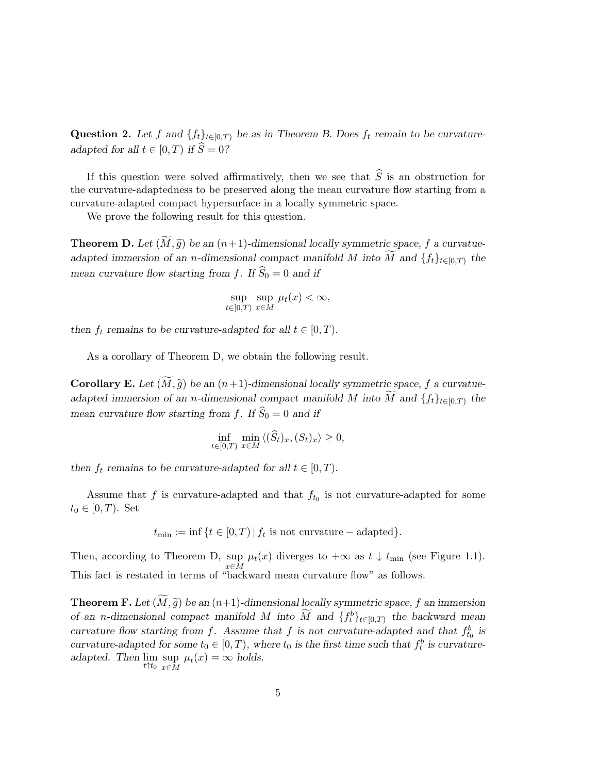Question 2. Let f and  $\{f_t\}_{t\in[0,T]}$  be as in Theorem B. Does  $f_t$  remain to be curvatureadapted for all  $t \in [0, T)$  if  $\widehat{S} = 0$ ?

If this question were solved affirmatively, then we see that  $\hat{S}$  is an obstruction for the curvature-adaptedness to be preserved along the mean curvature flow starting from a curvature-adapted compact hypersurface in a locally symmetric space.

We prove the following result for this question.

**Theorem D.** Let  $(M, \tilde{g})$  be an  $(n+1)$ -dimensional locally symmetric space, f a curvatueadapted immersion of an n-dimensional compact manifold M into M and  $\{f_t\}_{t\in[0,T)}$  the mean curvature flow starting from f. If  $\widehat{S}_0 = 0$  and if

$$
\sup_{t \in [0,T)} \sup_{x \in M} \mu_t(x) < \infty,
$$

then  $f_t$  remains to be curvature-adapted for all  $t \in [0, T)$ .

As a corollary of Theorem D, we obtain the following result.

**Corollary E.** Let  $(M, \tilde{q})$  be an  $(n+1)$ -dimensional locally symmetric space, f a curvatueadapted immersion of an n-dimensional compact manifold M into M and  $\{f_t\}_{t\in[0,T)}$  the mean curvature flow starting from f. If  $\widehat{S}_0 = 0$  and if

$$
\inf_{t \in [0,T)} \min_{x \in M} \langle (\widehat{S}_t)_x, (S_t)_x \rangle \ge 0,
$$

then  $f_t$  remains to be curvature-adapted for all  $t \in [0, T)$ .

Assume that  $f$  is curvature-adapted and that  $f_{t_0}$  is not curvature-adapted for some  $t_0 \in [0, T)$ . Set

 $t_{\min} := \inf \{ t \in [0, T) \, | \, f_t \text{ is not curvature} - \text{adapted} \}.$ 

Then, according to Theorem D, sup sup  $\mu_t(x)$  diverges to  $+\infty$  as  $t \downarrow t_{\min}$  (see Figure 1.1).<br> $x \in M$ This fact is restated in terms of "backward mean curvature flow" as follows.

**Theorem F.** Let  $(M, \tilde{g})$  be an  $(n+1)$ -dimensional locally symmetric space, f an immersion of an n-dimensional compact manifold M into  $\widetilde{M}$  and  $\{f_t^b\}_{t\in[0,T)}$  the backward mean curvature flow starting from f. Assume that f is not curvature-adapted and that  $f_{t_0}^b$  is curvature-adapted for some  $t_0 \in [0, T)$ , where  $t_0$  is the first time such that  $f_t^b$  is curvatureadapted. Then  $\lim_{t \uparrow t_0} \sup_{x \in M}$  $\sup_{x \in M} \mu_t(x) = \infty$  holds.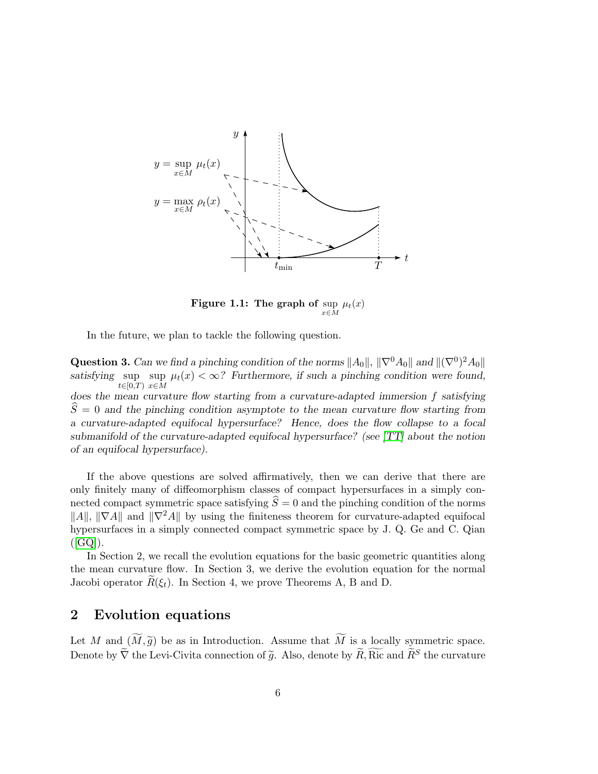

**Figure 1.1:** The graph of  $\sup_{x \in M} \mu_t(x)$ 

In the future, we plan to tackle the following question.

Question 3. Can we find a pinching condition of the norms  $||A_0||$ ,  $||\nabla^0 A_0||$  and  $||(\nabla^0)^2 A_0||$ satisfying sup  $\lim_{t \to \infty} \mu_t(x) < \infty$ ? Furthermore, if such a pinching condition were found,  $t \in [0,T]$   $x \in M$ 

does the mean curvature flow starting from a curvature-adapted immersion f satisfying  $S = 0$  and the pinching condition asymptote to the mean curvature flow starting from a curvature-adapted equifocal hypersurface? Hence, does the flow collapse to a focal submanifold of the curvature-adapted equifocal hypersurface? (see [\[TT\]](#page-18-7) about the notion of an equifocal hypersurface).

If the above questions are solved affirmatively, then we can derive that there are only finitely many of diffeomorphism classes of compact hypersurfaces in a simply connected compact symmetric space satisfying  $\hat{S} = 0$  and the pinching condition of the norms  $||A||, ||\nabla A||$  and  $||\nabla^2 A||$  by using the finiteness theorem for curvature-adapted equifocal hypersurfaces in a simply connected compact symmetric space by J. Q. Ge and C. Qian  $([GQ]).$  $([GQ]).$  $([GQ]).$ 

In Section 2, we recall the evolution equations for the basic geometric quantities along the mean curvature flow. In Section 3, we derive the evolution equation for the normal Jacobi operator  $R(\xi_t)$ . In Section 4, we prove Theorems A, B and D.

### 2 Evolution equations

Let M and  $(\widetilde{M}, \widetilde{g})$  be as in Introduction. Assume that  $\widetilde{M}$  is a locally symmetric space. Denote by  $\widetilde{\nabla}$  the Levi-Civita connection of  $\widetilde{g}$ . Also, denote by  $\widetilde{R}$ , Ric and  $\widetilde{R}^S$  the curvature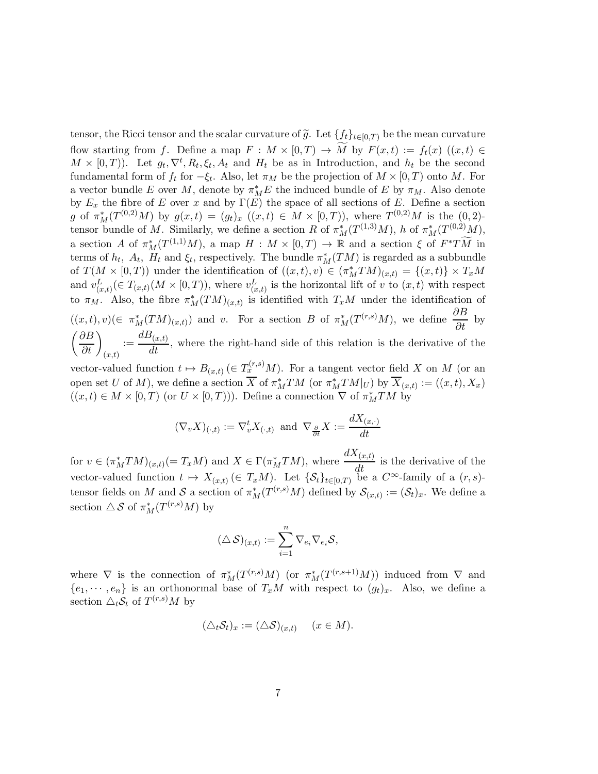tensor, the Ricci tensor and the scalar curvature of  $\tilde{g}$ . Let  $\{f_t\}_{t\in[0,T)}$  be the mean curvature flow starting from f. Define a map  $F : M \times [0,T) \to \widetilde{M}$  by  $F(x,t) := f_t(x)$   $((x,t) \in$  $M \times [0,T)$ ). Let  $g_t, \nabla^t, R_t, \xi_t, A_t$  and  $H_t$  be as in Introduction, and  $h_t$  be the second fundamental form of  $f_t$  for  $-\xi_t$ . Also, let  $\pi_M$  be the projection of  $M \times [0, T)$  onto M. For a vector bundle E over M, denote by  $\pi_M^* E$  the induced bundle of E by  $\pi_M$ . Also denote by  $E_x$  the fibre of E over x and by  $\Gamma(E)$  the space of all sections of E. Define a section g of  $\pi_M^*(T^{(0,2)}M)$  by  $g(x,t) = (g_t)_x$   $((x,t) \in M \times [0,T))$ , where  $T^{(0,2)}M$  is the  $(0,2)$ tensor bundle of M. Similarly, we define a section R of  $\pi_M^*(T^{(1,3)}M)$ , h of  $\pi_M^*(T^{(0,2)}M)$ , a section A of  $\pi_M^*(T^{(1,1)}M)$ , a map  $H: M \times [0,T) \to \mathbb{R}$  and a section  $\xi$  of  $F^*T\widetilde{M}$  in terms of  $h_t$ ,  $A_t$ ,  $H_t$  and  $\xi_t$ , respectively. The bundle  $\pi_M^*(TM)$  is regarded as a subbundle of  $T(M \times [0,T))$  under the identification of  $((x,t),v) \in (\pi_M^*TM)_{(x,t)} = \{(x,t)\} \times T_xM$ and  $v_{(x,t)}^L(\in T_{(x,t)}(M\times [0,T))$ , where  $v_{(x,t)}^L$  is the horizontal lift of v to  $(x,t)$  with respect to  $\pi_M$ . Also, the fibre  $\pi_M^*(TM)_{(x,t)}$  is identified with  $T_xM$  under the identification of  $((x,t), v)$ ( $\in \pi_M^*(TM)_{(x,t)}$ ) and v. For a section B of  $\pi_M^*(T^{(r,s)}M)$ , we define  $\frac{\partial B}{\partial t}$  by  $\left(\frac{\partial B}{\partial t}\right)_{(x,t)}$  $:=\frac{dB_{(x,t)}}{u}$  $\frac{dS(t,t)}{dt}$ , where the right-hand side of this relation is the derivative of the

vector-valued function  $t \mapsto B_{(x,t)} \in T_x^{(r,s)}M$ . For a tangent vector field X on M (or an open set U of M), we define a section  $\overline{X}$  of  $\pi_M^*TM$  (or  $\pi_M^*TM|_U$ ) by  $\overline{X}_{(x,t)} := ((x,t), X_x)$  $((x,t) \in M \times [0,T)$  (or  $U \times [0,T))$ ). Define a connection  $\nabla$  of  $\pi_M^*TM$  by

$$
(\nabla_v X)_{(\cdot,t)} := \nabla_v^t X_{(\cdot,t)} \text{ and } \nabla_{\frac{\partial}{\partial t}} X := \frac{dX_{(x,\cdot)}}{dt}
$$

for  $v \in (\pi_M^*TM)_{(x,t)} (= T_xM)$  and  $X \in \Gamma(\pi_M^*TM)$ , where  $dX_{(x,t)}$  $\frac{d(x,t)}{dt}$  is the derivative of the vector-valued function  $t \mapsto X_{(x,t)} \in T_xM$ . Let  $\{S_t\}_{t\in[0,T)}$  be a  $C^{\infty}$ -family of a  $(r, s)$ tensor fields on M and S a section of  $\pi_M^*(T^{(r,s)}M)$  defined by  $\mathcal{S}_{(x,t)} := (\mathcal{S}_t)_x$ . We define a section  $\triangle \mathcal{S}$  of  $\pi_M^*(T^{(r,s)}M)$  by

$$
(\triangle \mathcal{S})_{(x,t)} := \sum_{i=1}^n \nabla_{e_i} \nabla_{e_i} \mathcal{S},
$$

where  $\nabla$  is the connection of  $\pi_M^*(T^{(r,s)}M)$  (or  $\pi_M^*(T^{(r,s+1)}M)$ ) induced from  $\nabla$  and  ${e_1, \dots, e_n}$  is an orthonormal base of  $T_xM$  with respect to  $(g_t)_x$ . Also, we define a section  $\triangle_t \mathcal{S}_t$  of  $T^{(r,s)}M$  by

$$
(\triangle_t \mathcal{S}_t)_x := (\triangle \mathcal{S})_{(x,t)} \quad (x \in M).
$$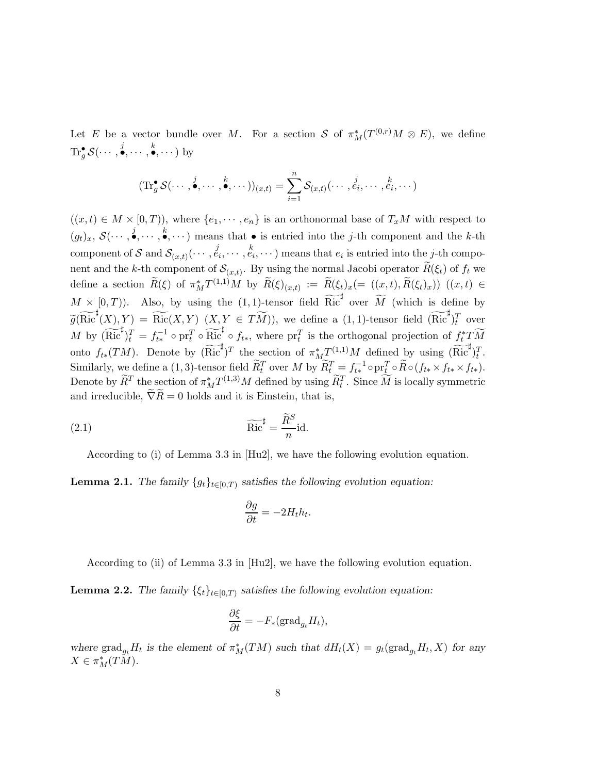Let E be a vector bundle over M. For a section S of  $\pi_M^*(T^{(0,r)}M \otimes E)$ , we define  $\text{Tr}^{\bullet}_{g} \mathcal{S}(\cdots, \stackrel{j}{\bullet}, \cdots, \stackrel{k}{\bullet}, \cdots)$  by

$$
(\mathrm{Tr}_{g}^{\bullet} \mathcal{S}(\cdots,\stackrel{j}{\bullet},\cdots,\stackrel{k}{\bullet},\cdots))_{(x,t)}=\sum_{i=1}^{n} \mathcal{S}_{(x,t)}(\cdots,\stackrel{j}{e_i},\cdots,\stackrel{k}{e_i},\cdots)
$$

 $((x,t) \in M \times [0,T))$ , where  $\{e_1, \dots, e_n\}$  is an orthonormal base of  $T_xM$  with respect to  $(g_t)_x, S(\cdots, \stackrel{j}{\bullet}, \cdots, \stackrel{k}{\bullet}, \cdots)$  means that  $\bullet$  is entried into the j-th component and the k-th  $\text{component of } \mathcal{S} \text{ and } \mathcal{S}_{(x,t)}(\cdots, \stackrel{j}{e_i}, \cdots, \stackrel{k}{e_i}, \cdots) \text{ means that } e_i \text{ is entiredim} \text{ into the } j\text{-th component}$ nent and the k-th component of  $\mathcal{S}_{(x,t)}$ . By using the normal Jacobi operator  $R(\xi_t)$  of  $f_t$  we define a section  $\widetilde{R}(\xi)$  of  $\pi_M^* T^{(1,1)}M$  by  $\widetilde{R}(\xi)_{(x,t)} := \widetilde{R}(\xi_t)_x (=(x,t), \widetilde{R}(\xi_t)_x)$   $((x,t) \in$  $M \times [0, T)$ ). Also, by using the (1,1)-tensor field  $\widetilde{\text{Ric}}^{\sharp}$  over  $\widetilde{M}$  (which is define by  $\widetilde{g}(\widetilde{\text{Ric}}^{\sharp}(X), Y) = \widetilde{\text{Ric}}(X, Y)$   $(X, Y \in T\widetilde{M})$ , we define a  $(1, 1)$ -tensor field  $(\widetilde{\text{Ric}}^{\sharp})_{t}^{T}$  over M by  $(\widetilde{\text{Ric}}^{\sharp})_t^T = f_{t*}^{-1} \circ \text{pr}_t^T \circ \widetilde{\text{Ric}}^{\sharp} \circ f_{t*}, \text{ where } \text{pr}_t^T \text{ is the orthogonal projection of } f_t^*T \widetilde{M}$ onto  $f_{t*}(TM)$ . Denote by  $(\widetilde{\text{Ric}}^{\sharp})^T$  the section of  $\pi_M^* \mathcal{I}^{(1,1)}M$  defined by using  $(\widetilde{\text{Ric}}^{\sharp})_t^T$ . Similarly, we define a (1,3)-tensor field  $\widetilde{R}_t^T$  over M by  $\widetilde{R}_t^T = f_{t*}^{-1} \circ \text{pr}_t^T \circ \widetilde{R} \circ (f_{t*} \times f_{t*} \times f_{t*}).$ Denote by  $\widetilde{R}^T$  the section of  $\pi_M^* T^{(1,3)}M$  defined by using  $\widetilde{R}_t^T$ . Since  $\widetilde{M}$  is locally symmetric and irreducible,  $\widetilde{\nabla}R=0$  holds and it is Einstein, that is,

(2.1) 
$$
\widetilde{\text{Ric}}^{\sharp} = \frac{\widetilde{R}^S}{n} \text{id}.
$$

According to (i) of Lemma 3.3 in [Hu2], we have the following evolution equation.

**Lemma 2.1.** The family  $\{g_t\}_{t\in[0,T)}$  satisfies the following evolution equation:

$$
\frac{\partial g}{\partial t} = -2H_t h_t.
$$

According to (ii) of Lemma 3.3 in [Hu2], we have the following evolution equation.

**Lemma 2.2.** The family  $\{\xi_t\}_{t\in[0,T)}$  satisfies the following evolution equation:

$$
\frac{\partial \xi}{\partial t} = -F_*(\text{grad}_{g_t} H_t),
$$

where  $\text{grad}_{g_t} H_t$  is the element of  $\pi_M^*(TM)$  such that  $dH_t(X) = g_t(\text{grad}_{g_t} H_t, X)$  for any  $X \in \pi_M^*(T\tilde{M}).$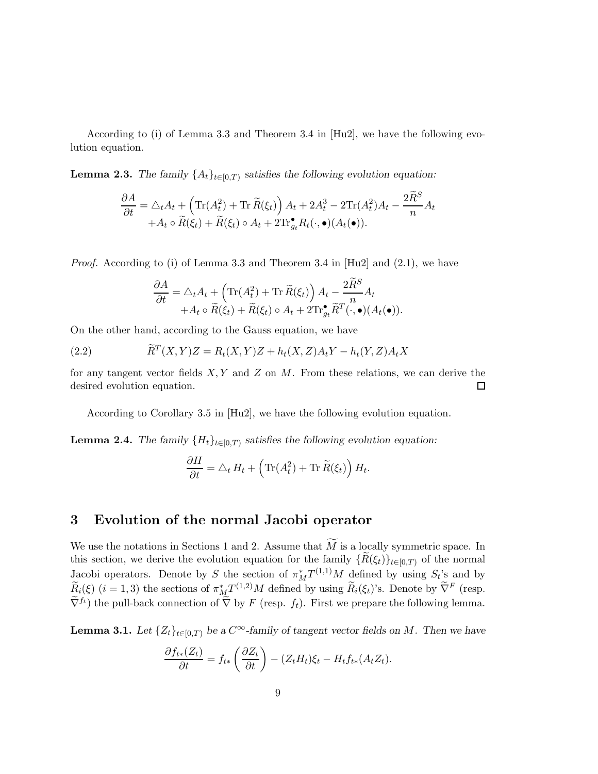According to (i) of Lemma 3.3 and Theorem 3.4 in [Hu2], we have the following evolution equation.

**Lemma 2.3.** The family  $\{A_t\}_{t\in[0,T)}$  satisfies the following evolution equation:

$$
\frac{\partial A}{\partial t} = \triangle_t A_t + \left( \text{Tr}(A_t^2) + \text{Tr}\,\widetilde{R}(\xi_t) \right) A_t + 2A_t^3 - 2\text{Tr}(A_t^2)A_t - \frac{2\widetilde{R}^S}{n}A_t + A_t \circ \widetilde{R}(\xi_t) + \widetilde{R}(\xi_t) \circ A_t + 2\text{Tr}_{g_t}^{\bullet} R_t(\cdot, \bullet)(A_t(\bullet)).
$$

*Proof.* According to (i) of Lemma 3.3 and Theorem 3.4 in [Hu2] and  $(2.1)$ , we have

$$
\frac{\partial A}{\partial t} = \triangle_t A_t + \left( \text{Tr}(A_t^2) + \text{Tr}\,\widetilde{R}(\xi_t) \right) A_t - \frac{2\widetilde{R}^S}{n} A_t + A_t \circ \widetilde{R}(\xi_t) + \widetilde{R}(\xi_t) \circ A_t + 2\text{Tr}_{g_t}^\bullet \widetilde{R}^T(\cdot, \bullet)(A_t(\bullet)).
$$

On the other hand, according to the Gauss equation, we have

(2.2) 
$$
\widetilde{R}^T(X,Y)Z = R_t(X,Y)Z + h_t(X,Z)A_tY - h_t(Y,Z)A_tX
$$

for any tangent vector fields  $X, Y$  and  $Z$  on  $M$ . From these relations, we can derive the desired evolution equation.  $\Box$ 

According to Corollary 3.5 in [Hu2], we have the following evolution equation.

**Lemma 2.4.** The family  ${H_t}_{t \in [0,T)}$  satisfies the following evolution equation:

$$
\frac{\partial H}{\partial t} = \triangle_t H_t + \left( \text{Tr}(A_t^2) + \text{Tr}\,\widetilde{R}(\xi_t) \right) H_t.
$$

## 3 Evolution of the normal Jacobi operator

We use the notations in Sections 1 and 2. Assume that  $\widetilde{M}$  is a locally symmetric space. In this section, we derive the evolution equation for the family  $\{\tilde{R}(\xi_t)\}_{t\in[0,T)}$  of the normal Jacobi operators. Denote by S the section of  $\pi_M^* T^{(1,1)} M$  defined by using  $S_t$ 's and by  $\widetilde{R}_i(\xi)$   $(i = 1, 3)$  the sections of  $\pi_{M}^* T^{(1,2)} M$  defined by using  $\widetilde{R}_i(\xi_t)$ 's. Denote by  $\widetilde{\nabla}^F$  (resp.  $\tilde{\nabla}^{f_t}$  the pull-back connection of  $\tilde{\nabla}$  by F (resp.  $f_t$ ). First we prepare the following lemma.

**Lemma 3.1.** Let  $\{Z_t\}_{t\in[0,T)}$  be a  $C^{\infty}$ -family of tangent vector fields on M. Then we have

$$
\frac{\partial f_{t*}(Z_t)}{\partial t} = f_{t*}\left(\frac{\partial Z_t}{\partial t}\right) - (Z_t H_t)\xi_t - H_t f_{t*}(A_t Z_t).
$$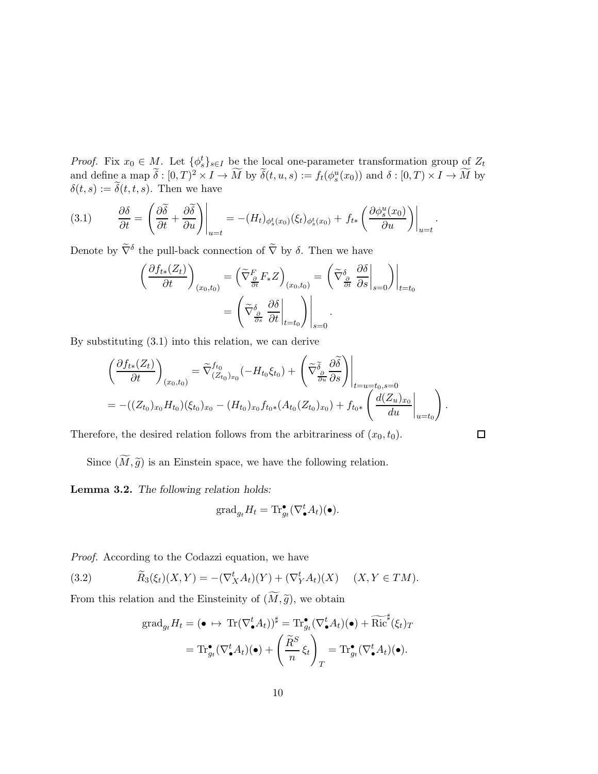*Proof.* Fix  $x_0 \in M$ . Let  $\{\phi_s^t\}_{s \in I}$  be the local one-parameter transformation group of  $Z_t$ and define a map  $\widetilde{\delta}: [0,T)^2 \times I \to \widetilde{M}$  by  $\widetilde{\delta}(t,u,s) := f_t(\phi_s^u(x_0))$  and  $\delta: [0,T) \times I \to \widetilde{M}$  by  $\delta(t, s) := \tilde{\delta}(t, t, s)$ . Then we have

$$
(3.1) \qquad \frac{\partial \delta}{\partial t} = \left. \left( \frac{\partial \widetilde{\delta}}{\partial t} + \frac{\partial \widetilde{\delta}}{\partial u} \right) \right|_{u=t} = -(H_t)_{\phi_s^t(x_0)} (\xi_t)_{\phi_s^t(x_0)} + f_{t*} \left. \left( \frac{\partial \phi_s^u(x_0)}{\partial u} \right) \right|_{u=t}.
$$

Denote by  $\tilde{\nabla}^{\delta}$  the pull-back connection of  $\tilde{\nabla}$  by  $\delta$ . Then we have

$$
\left(\frac{\partial f_{t*}(Z_t)}{\partial t}\right)_{(x_0,t_0)} = \left(\tilde{\nabla}^F_{\frac{\partial}{\partial t}} F_* Z\right)_{(x_0,t_0)} = \left(\tilde{\nabla}^{\delta}_{\frac{\partial}{\partial t}} \left. \frac{\partial \delta}{\partial s} \right|_{s=0}\right)\Big|_{t=t_0}
$$

$$
= \left(\tilde{\nabla}^{\delta}_{\frac{\partial}{\partial s}} \left. \frac{\partial \delta}{\partial t} \right|_{t=t_0}\right)\Big|_{s=0}.
$$

By substituting (3.1) into this relation, we can derive

$$
\begin{split}\n\left(\frac{\partial f_{t*}(Z_t)}{\partial t}\right)_{(x_0,t_0)} &= \tilde{\nabla}^{f_{t_0}}_{(Z_{t_0})_{x_0}}(-H_{t_0}\xi_{t_0}) + \left(\tilde{\nabla}^{\tilde{\delta}}_{\frac{\partial}{\partial u}}\frac{\partial \tilde{\delta}}{\partial s}\right)\Big|_{t=u=t_0,s=0} \\
&= -((Z_{t_0})_{x_0}H_{t_0})(\xi_{t_0})_{x_0} - (H_{t_0})_{x_0}f_{t_0*}(A_{t_0}(Z_{t_0})_{x_0}) + f_{t_0*}\left(\frac{d(Z_u)_{x_0}}{du}\Big|_{u=t_0}\right).\n\end{split}
$$

Therefore, the desired relation follows from the arbitrariness of  $(x_0, t_0)$ .

 $\Box$ 

Since  $(\widetilde{M}, \widetilde{g})$  is an Einstein space, we have the following relation.

Lemma 3.2. The following relation holds:

$$
\operatorname{grad}_{g_t} H_t = \operatorname{Tr}^{\bullet}_{g_t} (\nabla_{\bullet}^t A_t)(\bullet).
$$

Proof. According to the Codazzi equation, we have

(3.2) 
$$
\widetilde{R}_3(\xi_t)(X,Y) = -(\nabla_X^t A_t)(Y) + (\nabla_Y^t A_t)(X) \quad (X,Y \in TM).
$$

From this relation and the Einsteinity of  $(\widetilde{M}, \widetilde{g})$ , we obtain

$$
\operatorname{grad}_{g_t} H_t = (\bullet \mapsto \operatorname{Tr}(\nabla_{\bullet}^t A_t))^{\sharp} = \operatorname{Tr}_{g_t}^{\bullet}(\nabla_{\bullet}^t A_t)(\bullet) + \widetilde{\operatorname{Ric}}^{\sharp}(\xi_t)_T
$$

$$
= \operatorname{Tr}_{g_t}^{\bullet}(\nabla_{\bullet}^t A_t)(\bullet) + \left(\frac{\widetilde{R}^S}{n}\xi_t\right)_T = \operatorname{Tr}_{g_t}^{\bullet}(\nabla_{\bullet}^t A_t)(\bullet).
$$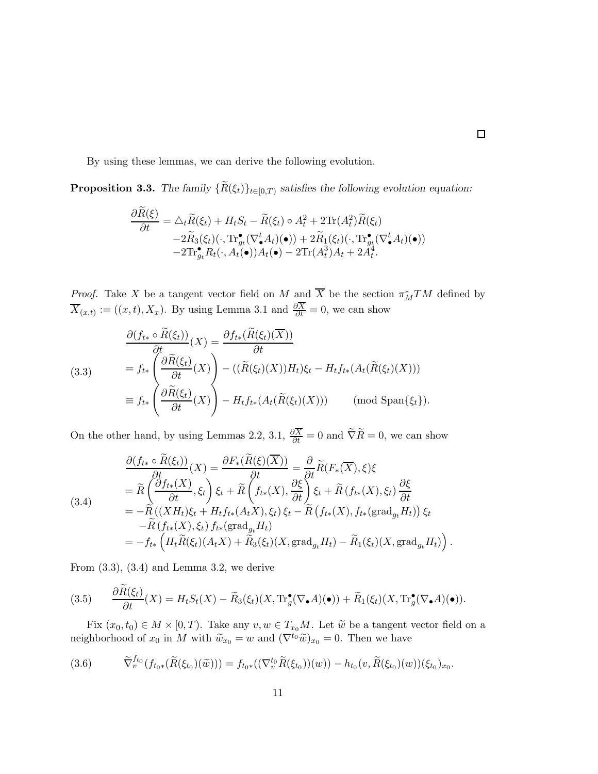By using these lemmas, we can derive the following evolution.

**Proposition 3.3.** The family  ${R(\xi_t)}_{t \in [0,T)}$  satisfies the following evolution equation:

$$
\frac{\partial R(\xi)}{\partial t} = \Delta_t \widetilde{R}(\xi_t) + H_t S_t - \widetilde{R}(\xi_t) \circ A_t^2 + 2 \text{Tr}(A_t^2) \widetilde{R}(\xi_t) \n-2 \widetilde{R}_3(\xi_t) (\cdot, \text{Tr}^{\bullet}_{g_t} (\nabla^t_{\bullet} A_t)(\bullet)) + 2 \widetilde{R}_1(\xi_t) (\cdot, \text{Tr}^{\bullet}_{g_t} (\nabla^t_{\bullet} A_t)(\bullet)) \n-2 \text{Tr}^{\bullet}_{g_t} R_t(\cdot, A_t(\bullet)) A_t(\bullet) - 2 \text{Tr}(A_t^3) A_t + 2 A_t^4.
$$

*Proof.* Take X be a tangent vector field on M and  $\overline{X}$  be the section  $\pi_M^*TM$  defined by  $\overline{X}_{(x,t)} := ((x,t), X_x)$ . By using Lemma 3.1 and  $\frac{\partial X}{\partial t} = 0$ , we can show

(3.3)  
\n
$$
\frac{\partial (f_{t*} \circ \widetilde{R}(\xi_t))}{\partial t}(X) = \frac{\partial f_{t*}(\widetilde{R}(\xi_t)(\overline{X}))}{\partial t}
$$
\n
$$
= f_{t*} \left( \frac{\partial \widetilde{R}(\xi_t)}{\partial t}(X) \right) - ((\widetilde{R}(\xi_t)(X))H_t)\xi_t - H_t f_{t*}(A_t(\widetilde{R}(\xi_t)(X)))
$$
\n
$$
\equiv f_{t*} \left( \frac{\partial \widetilde{R}(\xi_t)}{\partial t}(X) \right) - H_t f_{t*}(A_t(\widetilde{R}(\xi_t)(X))) \qquad \text{(mod Span}\{\xi_t\}).
$$

On the other hand, by using Lemmas 2.2, 3.1,  $\frac{\partial X}{\partial t} = 0$  and  $\widetilde{\nabla} \widetilde{R} = 0$ , we can show

(3.4)  
\n
$$
\frac{\partial (f_{t*} \circ R(\xi_t))}{\partial t}(X) = \frac{\partial F_*(R(\xi)(\overline{X}))}{\partial t} = \frac{\partial}{\partial t} \widetilde{R}(F_*(\overline{X}), \xi) \xi
$$
\n
$$
= \widetilde{R}\left(\frac{\partial f_{t*}(X)}{\partial t}, \xi_t\right) \xi_t + \widetilde{R}\left(f_{t*}(X), \frac{\partial \xi}{\partial t}\right) \xi_t + \widetilde{R}(f_{t*}(X), \xi_t) \frac{\partial \xi}{\partial t}
$$
\n
$$
= -\widetilde{R}((XH_t)\xi_t + H_t f_{t*}(A_t X), \xi_t) \xi_t - \widetilde{R}(f_{t*}(X), f_{t*}(\text{grad}_{g_t} H_t)) \xi_t
$$
\n
$$
- \widetilde{R}(f_{t*}(X), \xi_t) f_{t*}(\text{grad}_{g_t} H_t)
$$
\n
$$
= -f_{t*}\left(H_t \widetilde{R}(\xi_t)(A_t X) + \widetilde{R}_3(\xi_t)(X, \text{grad}_{g_t} H_t) - \widetilde{R}_1(\xi_t)(X, \text{grad}_{g_t} H_t)\right).
$$

From  $(3.3)$ ,  $(3.4)$  and Lemma 3.2, we derive

(3.5) 
$$
\frac{\partial R(\xi_t)}{\partial t}(X) = H_t S_t(X) - \widetilde{R}_3(\xi_t)(X, \text{Tr}^{\bullet}_{g}(\nabla_{\bullet} A)(\bullet)) + \widetilde{R}_1(\xi_t)(X, \text{Tr}^{\bullet}_{g}(\nabla_{\bullet} A)(\bullet)).
$$

Fix  $(x_0, t_0) \in M \times [0, T)$ . Take any  $v, w \in T_{x_0}M$ . Let  $\widetilde{w}$  be a tangent vector field on a neighborhood of  $x_0$  in M with  $\widetilde{w}_{x_0} = w$  and  $(\nabla^{t_0} \widetilde{w})_{x_0} = 0$ . Then we have

$$
(3.6) \qquad \widetilde{\nabla}^{f_{t_0}}_{v}(f_{t_0*}(\widetilde{R}(\xi_{t_0})(\widetilde{w}))) = f_{t_0*}((\nabla^{t_0}_{v}\widetilde{R}(\xi_{t_0}))(w)) - h_{t_0}(v,\widetilde{R}(\xi_{t_0})(w))(\xi_{t_0})_{x_0}.
$$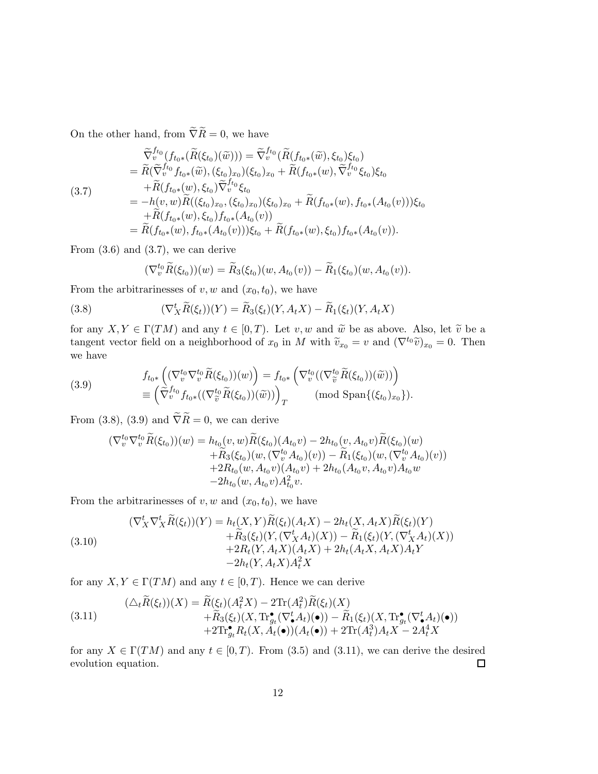On the other hand, from  $\widetilde{\nabla}\widetilde{R}=0,$  we have

$$
\begin{split}\n\widetilde{\nabla}^{f_{t_0}}_{v}(f_{t_0*}(\widetilde{R}(\xi_{t_0})(\widetilde{w}))) &= \widetilde{\nabla}^{f_{t_0}}_{v}(\widetilde{R}(f_{t_0*}(\widetilde{w}), \xi_{t_0})\xi_{t_0}) \\
&= \widetilde{R}(\widetilde{\nabla}^{f_{t_0}}_{v}f_{t_0*}(\widetilde{w}), (\xi_{t_0})_{x_0})(\xi_{t_0})_{x_0} + \widetilde{R}(f_{t_0*}(w), \widetilde{\nabla}^{f_{t_0}}_{v} \xi_{t_0})\xi_{t_0} \\
&+ \widetilde{R}(f_{t_0*}(w), \xi_{t_0})\widetilde{\nabla}^{f_{t_0}}_{v} \xi_{t_0} \\
&= -h(v, w)\widetilde{R}((\xi_{t_0})_{x_0}, (\xi_{t_0})_{x_0})(\xi_{t_0})_{x_0} + \widetilde{R}(f_{t_0*}(w), f_{t_0*}(A_{t_0}(v)))\xi_{t_0} \\
&+ \widetilde{R}(f_{t_0*}(w), \xi_{t_0})f_{t_0*}(A_{t_0}(v)) \\
&= \widetilde{R}(f_{t_0*}(w), f_{t_0*}(A_{t_0}(v)))\xi_{t_0} + \widetilde{R}(f_{t_0*}(w), \xi_{t_0})f_{t_0*}(A_{t_0}(v)).\n\end{split}
$$

From  $(3.6)$  and  $(3.7)$ , we can derive

$$
(\nabla_v^{t_0} \widetilde{R}(\xi_{t_0})) (w) = \widetilde{R}_3(\xi_{t_0}) (w, A_{t_0}(v)) - \widetilde{R}_1(\xi_{t_0}) (w, A_{t_0}(v)).
$$

From the arbitrarinesses of  $v, w$  and  $(x_0, t_0)$ , we have

(3.8) 
$$
(\nabla_X^t \widetilde{R}(\xi_t))(Y) = \widetilde{R}_3(\xi_t)(Y, A_t X) - \widetilde{R}_1(\xi_t)(Y, A_t X)
$$

for any  $X, Y \in \Gamma(TM)$  and any  $t \in [0, T)$ . Let v, w and  $\tilde{w}$  be as above. Also, let  $\tilde{v}$  be a tangent vector field on a neighborhood of  $x_0$  in M with  $\tilde{v}_{x_0} = v$  and  $(\nabla^{t_0} \tilde{v})_{x_0} = 0$ . Then we have

(3.9) 
$$
f_{t_0*}\left((\nabla_v^{t_0}\nabla_v^{t_0}\tilde{R}(\xi_{t_0}))(w)\right) = f_{t_0*}\left(\nabla_v^{t_0}((\nabla_{\tilde{v}}^{t_0}\tilde{R}(\xi_{t_0}))(\tilde{w}))\right) \\
\equiv \left(\tilde{\nabla}_v^{f_{t_0}}f_{t_0*}((\nabla_{\tilde{v}}^{t_0}\tilde{R}(\xi_{t_0}))(\tilde{w}))\right)_T \qquad (\text{mod Span}\{(\xi_{t_0})_{x_0}\}).
$$

From (3.8), (3.9) and  $\tilde{\nabla}\tilde{R} = 0$ , we can derive

$$
\begin{aligned} (\nabla_v^{t_0} \nabla_v^{t_0} \widetilde{R}(\xi_{t_0})) (w) &= h_{t_0}(v, w) \widetilde{R}(\xi_{t_0}) (A_{t_0}v) - 2h_{t_0}(v, A_{t_0}v) \widetilde{R}(\xi_{t_0}) (w) \\ &\quad + \widetilde{R}_3(\xi_{t_0}) (w, (\nabla_v^{t_0} A_{t_0}) (v)) - \widetilde{R}_1(\xi_{t_0}) (w, (\nabla_v^{t_0} A_{t_0}) (v)) \\ &\quad + 2R_{t_0}(w, A_{t_0}v) (A_{t_0}v) + 2h_{t_0}(A_{t_0}v, A_{t_0}v) A_{t_0}w \\ &\quad - 2h_{t_0}(w, A_{t_0}v) A_{t_0}^2 v. \end{aligned}
$$

From the arbitrarinesses of  $v, w$  and  $(x_0, t_0)$ , we have

(3.10)  
\n
$$
(\nabla_X^t \nabla_X^t \widetilde{R}(\xi_t))(Y) = h_t(X, Y)\widetilde{R}(\xi_t)(A_t X) - 2h_t(X, A_t X)\widetilde{R}(\xi_t)(Y) \n+ \widetilde{R}_3(\xi_t)(Y, (\nabla_X^t A_t)(X)) - \widetilde{R}_1(\xi_t)(Y, (\nabla_X^t A_t)(X)) \n+ 2R_t(Y, A_t X)(A_t X) + 2h_t(A_t X, A_t X)A_t Y \n- 2h_t(Y, A_t X)A_t^2 X
$$

for any  $X, Y \in \Gamma(TM)$  and any  $t \in [0, T)$ . Hence we can derive

(3.11) 
$$
(\triangle_t \widetilde{R}(\xi_t))(X) = \widetilde{R}(\xi_t)(A_t^2 X) - 2\mathrm{Tr}(A_t^2)\widetilde{R}(\xi_t)(X) + \widetilde{R}_3(\xi_t)(X, \mathrm{Tr}^{\bullet}_{g_t}(\nabla^t_{\bullet} A_t)(\bullet)) - \widetilde{R}_1(\xi_t)(X, \mathrm{Tr}^{\bullet}_{g_t}(\nabla^t_{\bullet} A_t)(\bullet)) + 2\mathrm{Tr}^{\bullet}_{g_t} R_t(X, A_t(\bullet))(A_t(\bullet)) + 2\mathrm{Tr}(A_t^3)A_t X - 2A_t^4 X
$$

for any  $X \in \Gamma(TM)$  and any  $t \in [0, T)$ . From (3.5) and (3.11), we can derive the desired evolution equation. evolution equation.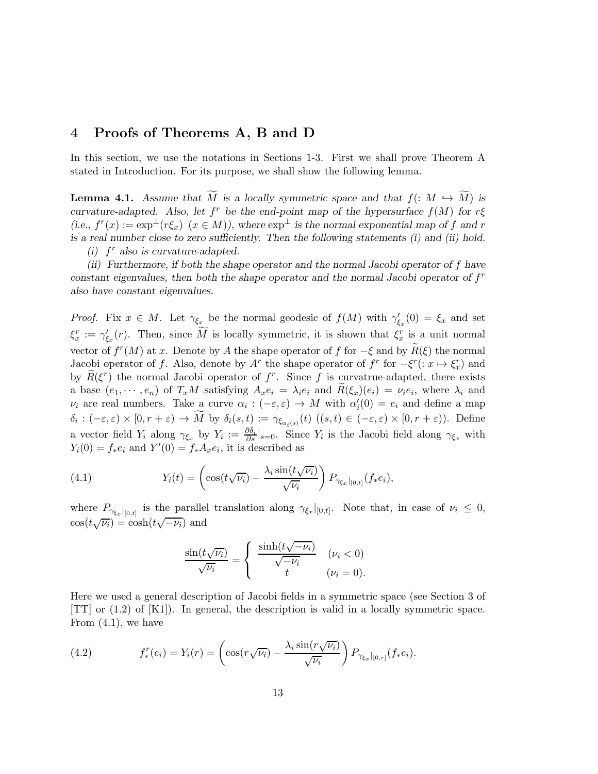# 4 Proofs of Theorems A, B and D

In this section, we use the notations in Sections 1-3. First we shall prove Theorem A stated in Introduction. For its purpose, we shall show the following lemma.

**Lemma 4.1.** Assume that  $\widetilde{M}$  is a locally symmetric space and that  $f: M \hookrightarrow \widetilde{M}$  is curvature-adapted. Also, let  $f^r$  be the end-point map of the hypersurface  $f(M)$  for  $r\xi$ (i.e.,  $f^r(x) := \exp^{\perp}(r\xi_x)$   $(x \in M)$ ), where  $\exp^{\perp}$  is the normal exponential map of f and r is a real number close to zero sufficiently. Then the following statements (i) and (ii) hold. (i)  $f^r$  also is curvature-adapted.

(ii) Furthermore, if both the shape operator and the normal Jacobi operator of f have constant eigenvalues, then both the shape operator and the normal Jacobi operator of  $f<sup>r</sup>$ also have constant eigenvalues.

*Proof.* Fix  $x \in M$ . Let  $\gamma_{\xi_x}$  be the normal geodesic of  $f(M)$  with  $\gamma'_{\xi_x}(0) = \xi_x$  and set  $\xi_x^r := \gamma_{\xi_x}'(r)$ . Then, since M is locally symmetric, it is shown that  $\xi_x^r$  is a unit normal vector of  $f^r(M)$  at x. Denote by A the shape operator of f for  $-\xi$  and by  $\widetilde{R}(\xi)$  the normal Jacobi operator of f. Also, denote by  $A^r$  the shape operator of  $f^r$  for  $-\xi^r$  (:  $x \mapsto \xi_x^r$ ) and by  $\widetilde{R}(\xi^r)$  the normal Jacobi operator of  $f^r$ . Since f is curvatrue-adapted, there exists a base  $(e_1, \dots, e_n)$  of  $T_xM$  satisfying  $A_xe_i = \lambda_i e_i$  and  $R(\xi_x)(e_i) = \nu_i e_i$ , where  $\lambda_i$  and  $\nu_i$  are real numbers. Take a curve  $\alpha_i : (-\varepsilon, \varepsilon) \to M$  with  $\alpha_i'(0) = e_i$  and define a map  $\delta_i: (-\varepsilon,\varepsilon) \times [0,r+\varepsilon) \to M$  by  $\delta_i(s,t) := \gamma_{\xi_{\alpha_i}(s)}(t)$   $((s,t) \in (-\varepsilon,\varepsilon) \times [0,r+\varepsilon)$ ). Define a vector field  $Y_i$  along  $\gamma_{\xi_x}$  by  $Y_i := \frac{\partial \delta_i}{\partial s}|_{s=0}$ . Since  $Y_i$  is the Jacobi field along  $\gamma_{\xi_x}$  with  $Y_i(0) = f_*e_i$  and  $Y'(0) = f_*A_xe_i$ , it is described as

(4.1) 
$$
Y_i(t) = \left(\cos(t\sqrt{\nu_i}) - \frac{\lambda_i \sin(t\sqrt{\nu_i})}{\sqrt{\nu_i}}\right) P_{\gamma_{\xi_x}|_{[0,t]}}(f_*e_i),
$$

where  $P_{\gamma_{\xi_x}|_{[0,t]}}$  is the parallel translation along  $\gamma_{\xi_x}|_{[0,t]}$ . Note that, in case of  $\nu_i \leq 0$ ,  $\cos(t\sqrt{\nu_i}) = \cosh(t\sqrt{-\nu_i})$  and

$$
\frac{\sin(t\sqrt{\nu_i})}{\sqrt{\nu_i}} = \begin{cases} \frac{\sinh(t\sqrt{-\nu_i})}{\sqrt{-\nu_i}} & (\nu_i < 0) \\ t & (\nu_i = 0). \end{cases}
$$

Here we used a general description of Jacobi fields in a symmetric space (see Section 3 of [TT] or (1.2) of [K1]). In general, the description is valid in a locally symmetric space. From  $(4.1)$ , we have

(4.2) 
$$
f_*^r(e_i) = Y_i(r) = \left(\cos(r\sqrt{\nu_i}) - \frac{\lambda_i \sin(r\sqrt{\nu_i})}{\sqrt{\nu_i}}\right) P_{\gamma_{\xi_x}|_{[0,r]}}(f_*e_i).
$$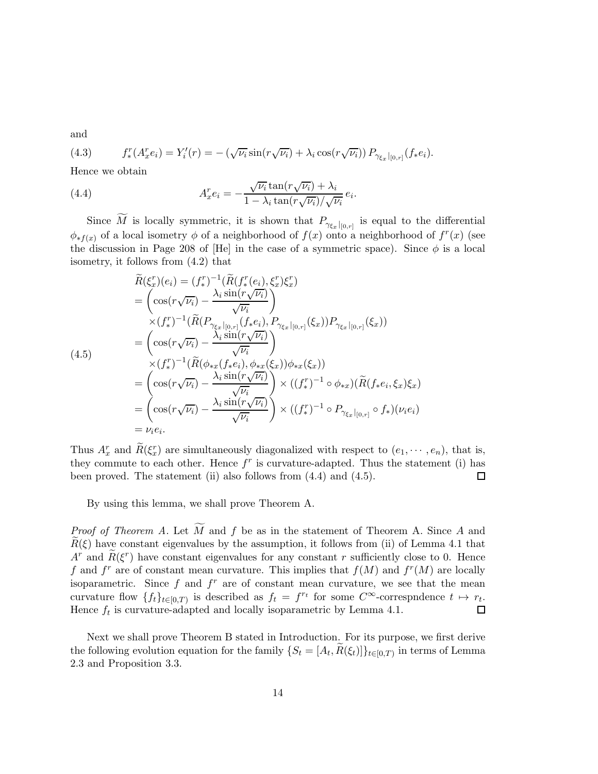and

(4.3) 
$$
f_*^r(A_x^r e_i) = Y_i'(r) = -(\sqrt{\nu_i} \sin(r\sqrt{\nu_i}) + \lambda_i \cos(r\sqrt{\nu_i})) P_{\gamma_{\xi_x}|_{[0,r]}}(f_*e_i).
$$

Hence we obtain

(4.4) 
$$
A_x^r e_i = -\frac{\sqrt{\nu_i} \tan(r\sqrt{\nu_i}) + \lambda_i}{1 - \lambda_i \tan(r\sqrt{\nu_i})/\sqrt{\nu_i}} e_i.
$$

Since M is locally symmetric, it is shown that  $P_{\gamma_{\xi_x}|_{[0,r]}}$  is equal to the differential  $\phi_{*f(x)}$  of a local isometry  $\phi$  of a neighborhood of  $f(x)$  onto a neighborhood of  $f^{r}(x)$  (see the discussion in Page 208 of [He] in the case of a symmetric space). Since  $\phi$  is a local isometry, it follows from (4.2) that

$$
\widetilde{R}(\xi_x^r)(e_i) = (f_*^r)^{-1}(\widetilde{R}(f_*^r(e_i), \xi_x^r)\xi_x^r) \n= \left(\cos(r\sqrt{\nu_i}) - \frac{\lambda_i \sin(r\sqrt{\nu_i})}{\sqrt{\nu_i}}\right) \n\times (f_*^r)^{-1}(\widetilde{R}(P_{\gamma_{\xi_x}|_{[0,r]}(f_*e_i), P_{\gamma_{\xi_x}|_{[0,r]}(\xi_x)})P_{\gamma_{\xi_x}|_{[0,r]}(\xi_x)}) \n= \left(\cos(r\sqrt{\nu_i}) - \frac{\lambda_i \sin(r\sqrt{\nu_i})}{\sqrt{\nu_i}}\right) \n\times (f_*^r)^{-1}(\widetilde{R}(\phi_{*x}(f_*e_i), \phi_{*x}(\xi_x))\phi_{*x}(\xi_x)) \n= \left(\cos(r\sqrt{\nu_i}) - \frac{\lambda_i \sin(r\sqrt{\nu_i})}{\sqrt{\nu_i}}\right) \times ((f_*^r)^{-1} \circ \phi_{*x})(\widetilde{R}(f_*e_i, \xi_x)\xi_x) \n= \left(\cos(r\sqrt{\nu_i}) - \frac{\lambda_i \sin(r\sqrt{\nu_i})}{\sqrt{\nu_i}}\right) \times ((f_*^r)^{-1} \circ P_{\gamma_{\xi_x}|_{[0,r]} \circ f_*(\nu_i)e_i) \n= \nu_i e_i.
$$

Thus  $A_x^r$  and  $\tilde{R}(\xi_x^r)$  are simultaneously diagonalized with respect to  $(e_1, \dots, e_n)$ , that is, they commute to each other. Hence  $f^r$  is curvature-adapted. Thus the statement (i) has been proved. The statement (ii) also follows from (4.4) and (4.5). 口

By using this lemma, we shall prove Theorem A.

*Proof of Theorem A.* Let  $\widetilde{M}$  and f be as in the statement of Theorem A. Since A and  $\widetilde{R}(\xi)$  have constant eigenvalues by the assumption, it follows from (ii) of Lemma 4.1 that  $A^r$  and  $\widetilde{R}(\xi^r)$  have constant eigenvalues for any constant r sufficiently close to 0. Hence f and  $f^r$  are of constant mean curvature. This implies that  $f(M)$  and  $f^r(M)$  are locally isoparametric. Since  $f$  and  $f^r$  are of constant mean curvature, we see that the mean curvature flow  $\{f_t\}_{t\in [0,T)}$  is described as  $f_t = f^{r_t}$  for some  $C^{\infty}$ -correspndence  $t \mapsto r_t$ . Hence  $f_t$  is curvature-adapted and locally isoparametric by Lemma 4.1.

Next we shall prove Theorem B stated in Introduction. For its purpose, we first derive the following evolution equation for the family  $\{S_t = [A_t, R(\xi_t)]\}_{t \in [0,T)}$  in terms of Lemma 2.3 and Proposition 3.3.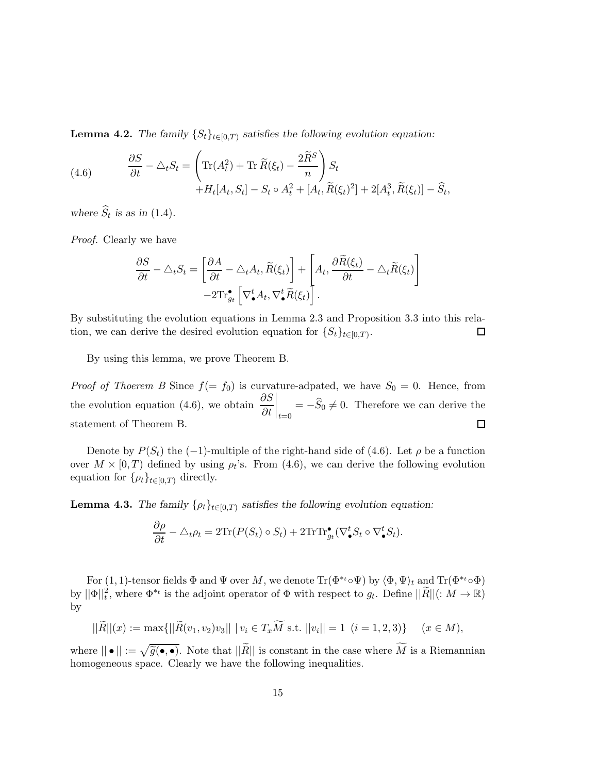**Lemma 4.2.** The family  $\{S_t\}_{t\in[0,T)}$  satisfies the following evolution equation:

(4.6) 
$$
\frac{\partial S}{\partial t} - \triangle_t S_t = \left( \text{Tr}(A_t^2) + \text{Tr} \widetilde{R}(\xi_t) - \frac{2\widetilde{R}^S}{n} \right) S_t + H_t[A_t, S_t] - S_t \circ A_t^2 + [A_t, \widetilde{R}(\xi_t)^2] + 2[A_t^3, \widetilde{R}(\xi_t)] - \widehat{S}_t,
$$

where  $S_t$  is as in (1.4).

Proof. Clearly we have

$$
\frac{\partial S}{\partial t} - \triangle_t S_t = \left[ \frac{\partial A}{\partial t} - \triangle_t A_t, \widetilde{R}(\xi_t) \right] + \left[ A_t, \frac{\partial \widetilde{R}(\xi_t)}{\partial t} - \triangle_t \widetilde{R}(\xi_t) \right] - 2 \mathrm{Tr}^{\bullet}_{g_t} \left[ \nabla^t_{\bullet} A_t, \nabla^t_{\bullet} \widetilde{R}(\xi_t) \right].
$$

By substituting the evolution equations in Lemma 2.3 and Proposition 3.3 into this relation, we can derive the desired evolution equation for  $\{S_t\}_{t\in[0,T)}$ .  $\Box$ 

By using this lemma, we prove Theorem B.

*Proof of Thoerem B* Since  $f(= f_0)$  is curvature-adpated, we have  $S_0 = 0$ . Hence, from  $\begin{vmatrix} 1 \ t=0 \end{vmatrix}$  =  $-\widehat{S}_0 \neq 0$ . Therefore we can derive the the evolution equation (4.6), we obtain  $\frac{\partial S}{\partial t}$ statement of Theorem B.  $\Box$ 

Denote by  $P(S_t)$  the (-1)-multiple of the right-hand side of (4.6). Let  $\rho$  be a function over  $M \times [0, T)$  defined by using  $\rho_t$ 's. From (4.6), we can derive the following evolution equation for  $\{\rho_t\}_{t\in[0,T)}$  directly.

**Lemma 4.3.** The family  $\{\rho_t\}_{t\in[0,T)}$  satisfies the following evolution equation:

$$
\frac{\partial \rho}{\partial t} - \triangle_t \rho_t = 2 \text{Tr}(P(S_t) \circ S_t) + 2 \text{Tr} \text{Tr}_{g_t} (\nabla_{\bullet}^t S_t \circ \nabla_{\bullet}^t S_t).
$$

For (1, 1)-tensor fields  $\Phi$  and  $\Psi$  over M, we denote  $\text{Tr}(\Phi^{*t} \circ \Psi)$  by  $\langle \Phi, \Psi \rangle_t$  and  $\text{Tr}(\Phi^{*t} \circ \Phi)$ by  $||\Phi||_t^2$ , where  $\Phi^{*t}$  is the adjoint operator of  $\Phi$  with respect to  $g_t$ . Define  $||\widetilde{R}||$  (:  $M \to \mathbb{R}$ ) by

$$
||\widetilde{R}||(x) := \max\{||\widetilde{R}(v_1, v_2)v_3|| \mid v_i \in T_x \widetilde{M} \text{ s.t. } ||v_i|| = 1 \ (i = 1, 2, 3)\} \quad (x \in M),
$$

where  $|| \bullet || := \sqrt{\tilde{g}(\bullet, \bullet)}$ . Note that  $||\tilde{R}||$  is constant in the case where  $\widetilde{M}$  is a Riemannian homogeneous space. Clearly we have the following inequalities.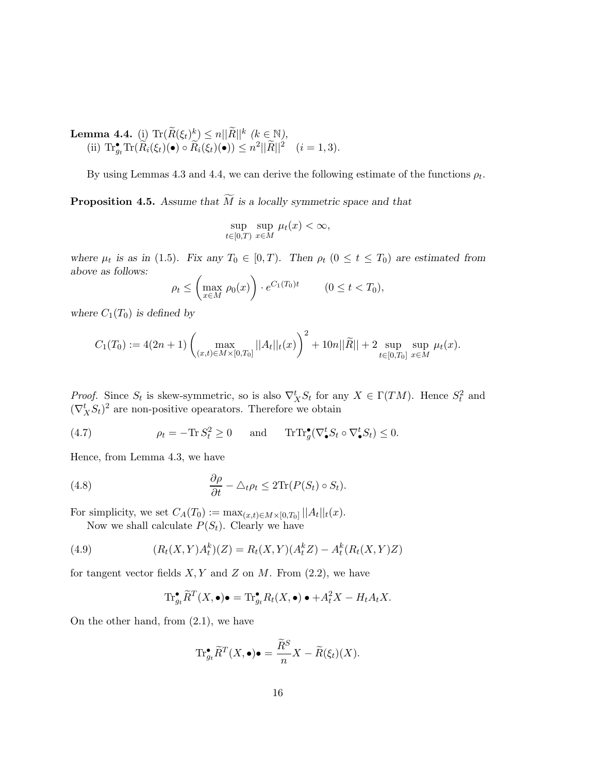**Lemma 4.4.** (i)  $\text{Tr}(\widetilde{R}(\xi_t)^k) \leq n||\widetilde{R}||^k$  ( $k \in \mathbb{N}$ ), (ii)  $\text{Tr} \, \boldsymbol{F}_{g_t} \text{Tr}(\tilde{R}_i(\xi_t)(\bullet) \circ \tilde{R}_i(\xi_t)(\bullet)) \leq n^2 ||\tilde{R}||^2 \quad (i=1,3).$ 

By using Lemmas 4.3 and 4.4, we can derive the following estimate of the functions  $\rho_t$ .

**Proposition 4.5.** Assume that  $\widetilde{M}$  is a locally symmetric space and that

$$
\sup_{t \in [0,T)} \sup_{x \in M} \mu_t(x) < \infty,
$$

where  $\mu_t$  is as in (1.5). Fix any  $T_0 \in [0, T)$ . Then  $\rho_t$  ( $0 \le t \le T_0$ ) are estimated from above as follows:

$$
\rho_t \le \left(\max_{x \in M} \rho_0(x)\right) \cdot e^{C_1(T_0)t} \qquad (0 \le t < T_0),
$$

where  $C_1(T_0)$  is defined by

$$
C_1(T_0) := 4(2n+1) \left( \max_{(x,t) \in M \times [0,T_0]} ||A_t||_t(x) \right)^2 + 10n||\widetilde{R}|| + 2 \sup_{t \in [0,T_0]} \sup_{x \in M} \mu_t(x).
$$

*Proof.* Since  $S_t$  is skew-symmetric, so is also  $\nabla_X^t S_t$  for any  $X \in \Gamma(TM)$ . Hence  $S_t^2$  and  $(\nabla_X^t S_t)^2$  are non-positive opearators. Therefore we obtain

(4.7) 
$$
\rho_t = -\text{Tr}\, S_t^2 \ge 0 \quad \text{and} \quad \text{Tr}\text{Tr}^\bullet_g(\nabla^t_\bullet S_t \circ \nabla^t_\bullet S_t) \le 0.
$$

Hence, from Lemma 4.3, we have

(4.8) 
$$
\frac{\partial \rho}{\partial t} - \triangle_t \rho_t \leq 2 \text{Tr}(P(S_t) \circ S_t).
$$

For simplicity, we set  $C_A(T_0) := \max_{(x,t) \in M \times [0,T_0]} ||A_t||_t(x)$ .

Now we shall calculate  $P(S_t)$ . Clearly we have

(4.9) 
$$
(R_t(X,Y)A_t^k)(Z) = R_t(X,Y)(A_t^k Z) - A_t^k(R_t(X,Y)Z)
$$

for tangent vector fields  $X, Y$  and  $Z$  on  $M$ . From (2.2), we have

$$
\mathrm{Tr}^{\bullet}_{g_t}\widetilde{R}^T(X,\bullet)\bullet=\mathrm{Tr}^{\bullet}_{g_t}R_t(X,\bullet)\bullet+A_t^2X-H_tA_tX.
$$

On the other hand, from (2.1), we have

$$
\mathrm{Tr}^{\bullet}_{g_t}\widetilde{R}^T(X,\bullet)\bullet = \frac{\widetilde{R}^S}{n}X - \widetilde{R}(\xi_t)(X).
$$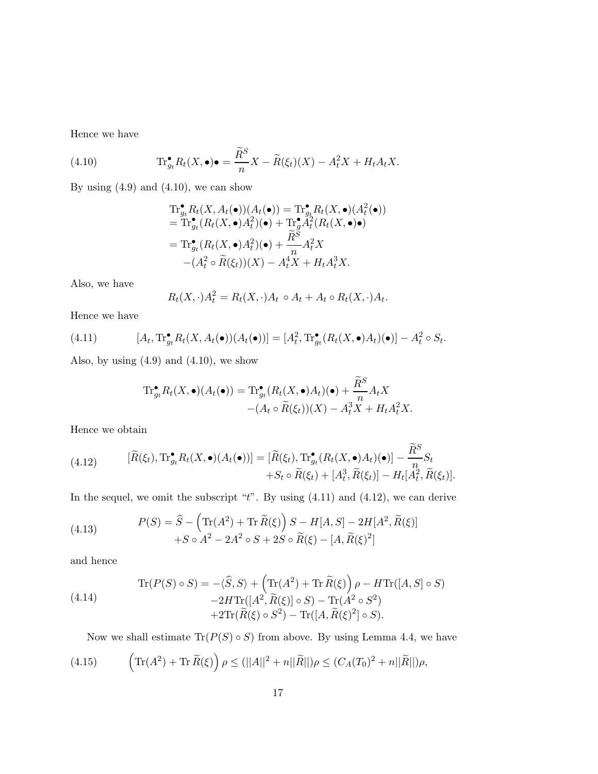Hence we have

(4.10) 
$$
\text{Tr}^{\bullet}_{g_t} R_t(X, \bullet) \bullet = \frac{\widetilde{R}^S}{n} X - \widetilde{R}(\xi_t)(X) - A_t^2 X + H_t A_t X.
$$

By using  $(4.9)$  and  $(4.10)$ , we can show

$$
\begin{aligned} \operatorname{Tr}^{\bullet}_{g_t} R_t(X, A_t(\bullet))(A_t(\bullet)) &= \operatorname{Tr}^{\bullet}_{g_t} R_t(X, \bullet)(A_t^2(\bullet)) \\ &= \operatorname{Tr}^{\bullet}_{g_t} (R_t(X, \bullet) A_t^2)(\bullet) + \operatorname{Tr}^{\bullet}_{g} A_t^2(R_t(X, \bullet)\bullet) \\ &= \operatorname{Tr}^{\bullet}_{g_t} (R_t(X, \bullet) A_t^2)(\bullet) + \frac{\widetilde{R}^S}{n} A_t^2 X \\ &- (A_t^2 \circ \widetilde{R}(\xi_t))(X) - A_t^4 X + H_t A_t^3 X. \end{aligned}
$$

Also, we have

$$
R_t(X,\cdot)A_t^2 = R_t(X,\cdot)A_t \circ A_t + A_t \circ R_t(X,\cdot)A_t.
$$

Hence we have

(4.11) 
$$
[A_t, \mathrm{Tr}^{\bullet}_{g_t} R_t(X, A_t(\bullet))(A_t(\bullet))] = [A_t^2, \mathrm{Tr}^{\bullet}_{g_t} (R_t(X, \bullet)A_t)(\bullet)] - A_t^2 \circ S_t.
$$

Also, by using  $(4.9)$  and  $(4.10)$ , we show

$$
\mathrm{Tr}^{\bullet}_{g_t} R_t(X, \bullet)(A_t(\bullet)) = \mathrm{Tr}^{\bullet}_{g_t} (R_t(X, \bullet) A_t)(\bullet) + \frac{\widetilde{R}^S}{n} A_t X - (A_t \circ \widetilde{R}(\xi_t))(X) - A_t^3 X + H_t A_t^2 X.
$$

Hence we obtain

(4.12) 
$$
[\widetilde{R}(\xi_t), \mathrm{Tr}^{\bullet}_{g_t} R_t(X, \bullet)(A_t(\bullet))] = [\widetilde{R}(\xi_t), \mathrm{Tr}^{\bullet}_{g_t} (R_t(X, \bullet)A_t)(\bullet)] - \frac{\widetilde{R}^S}{n} S_t + S_t \circ \widetilde{R}(\xi_t) + [A_t^3, \widetilde{R}(\xi_t)] - H_t[A_t^2, \widetilde{R}(\xi_t)].
$$

In the sequel, we omit the subscript " $t$ ". By using  $(4.11)$  and  $(4.12)$ , we can derive

(4.13) 
$$
P(S) = \widehat{S} - \left( \text{Tr}(A^2) + \text{Tr} \,\widetilde{R}(\xi) \right) S - H[A, S] - 2H[A^2, \widetilde{R}(\xi)] + S \circ A^2 - 2A^2 \circ S + 2S \circ \widetilde{R}(\xi) - [A, \widetilde{R}(\xi)^2]
$$

and hence

(4.14)  
\n
$$
\operatorname{Tr}(P(S) \circ S) = -\langle \widehat{S}, S \rangle + \left( \operatorname{Tr}(A^2) + \operatorname{Tr} \widetilde{R}(\xi) \right) \rho - H \operatorname{Tr}([A, S] \circ S) \n- 2H \operatorname{Tr}([A^2, \widetilde{R}(\xi)] \circ S) - \operatorname{Tr}(A^2 \circ S^2) \n+ 2 \operatorname{Tr}(\widetilde{R}(\xi) \circ S^2) - \operatorname{Tr}([A, \widetilde{R}(\xi)^2] \circ S).
$$

Now we shall estimate  $\text{Tr}(P(S) \circ S)$  from above. By using Lemma 4.4, we have

(4.15) 
$$
\left( \text{Tr}(A^2) + \text{Tr} \,\widetilde{R}(\xi) \right) \rho \le (||A||^2 + n||\widetilde{R}||) \rho \le (C_A(T_0)^2 + n||\widetilde{R}||) \rho,
$$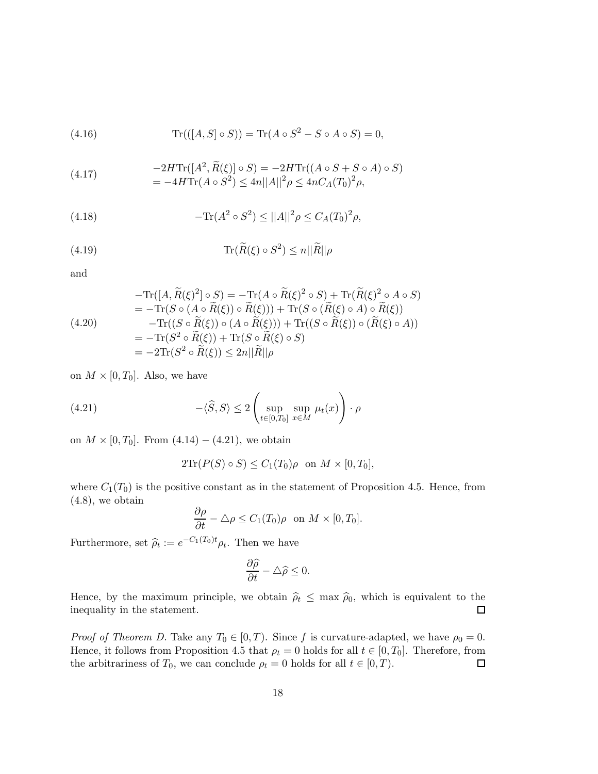(4.16) 
$$
\text{Tr}(([A, S] \circ S)) = \text{Tr}(A \circ S^2 - S \circ A \circ S) = 0,
$$

(4.17) 
$$
-2H\text{Tr}([A^2, \tilde{R}(\xi)] \circ S) = -2H\text{Tr}((A \circ S + S \circ A) \circ S)
$$

$$
= -4H\text{Tr}(A \circ S^2) \le 4n||A||^2 \rho \le 4nC_A(T_0)^2 \rho,
$$

(4.18) 
$$
-\text{Tr}(A^2 \circ S^2) \le ||A||^2 \rho \le C_A(T_0)^2 \rho,
$$

(4.19) 
$$
\text{Tr}(\widetilde{R}(\xi) \circ S^2) \leq n||\widetilde{R}||\rho
$$

and

$$
- \text{Tr}([A, \widetilde{R}(\xi)^2] \circ S) = - \text{Tr}(A \circ \widetilde{R}(\xi)^2 \circ S) + \text{Tr}(\widetilde{R}(\xi)^2 \circ A \circ S)
$$
  
\n
$$
= - \text{Tr}(S \circ (A \circ \widetilde{R}(\xi)) \circ \widetilde{R}(\xi))) + \text{Tr}(S \circ (\widetilde{R}(\xi) \circ A) \circ \widetilde{R}(\xi))
$$
  
\n
$$
- \text{Tr}((S \circ \widetilde{R}(\xi)) \circ (A \circ \widetilde{R}(\xi))) + \text{Tr}((S \circ \widetilde{R}(\xi)) \circ (\widetilde{R}(\xi) \circ A))
$$
  
\n
$$
= - \text{Tr}(S^2 \circ \widetilde{R}(\xi)) + \text{Tr}(S \circ \widetilde{R}(\xi) \circ S)
$$
  
\n
$$
= -2 \text{Tr}(S^2 \circ \widetilde{R}(\xi)) \le 2n ||\widetilde{R}||\rho
$$

on  $M \times [0, T_0]$ . Also, we have

(4.21) 
$$
-\langle \widehat{S}, S \rangle \le 2 \left( \sup_{t \in [0, T_0]} \sup_{x \in M} \mu_t(x) \right) \cdot \rho
$$

on  $M \times [0, T_0]$ . From  $(4.14) - (4.21)$ , we obtain

$$
2\mathrm{Tr}(P(S)\circ S) \le C_1(T_0)\rho \text{ on } M \times [0, T_0],
$$

where  $C_1(T_0)$  is the positive constant as in the statement of Proposition 4.5. Hence, from  $(4.8)$ , we obtain

$$
\frac{\partial \rho}{\partial t} - \triangle \rho \le C_1(T_0)\rho \text{ on } M \times [0, T_0].
$$

Furthermore, set  $\hat{\rho}_t := e^{-C_1(T_0)t} \rho_t$ . Then we have

$$
\frac{\partial \widehat{\rho}}{\partial t} - \triangle \widehat{\rho} \le 0.
$$

Hence, by the maximum principle, we obtain  $\hat{\rho}_t \leq \max \hat{\rho}_0$ , which is equivalent to the inequality in the statement. inequality in the statement.

*Proof of Theorem D.* Take any  $T_0 \in [0, T)$ . Since f is curvature-adapted, we have  $\rho_0 = 0$ . Hence, it follows from Proposition 4.5 that  $\rho_t = 0$  holds for all  $t \in [0, T_0]$ . Therefore, from the arbitrariness of  $T_0$ , we can conclude  $\rho_t = 0$  holds for all  $t \in [0, T)$ . the arbitrariness of  $T_0$ , we can conclude  $\rho_t = 0$  holds for all  $t \in [0, T)$ .